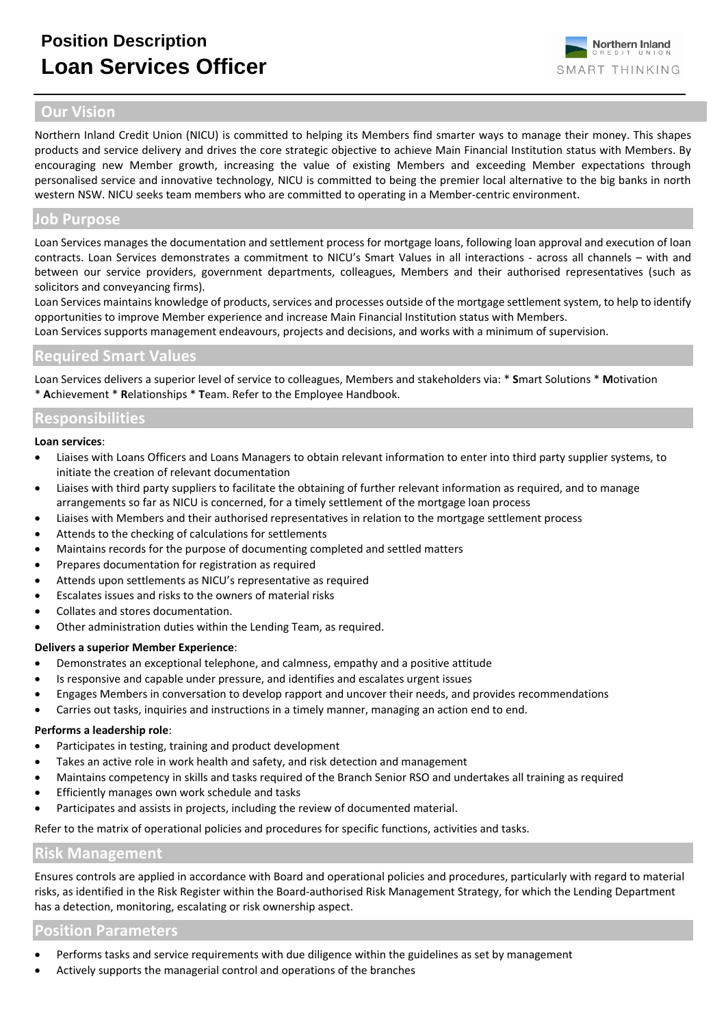

# **Our Vision**

Northern Inland Credit Union (NICU) is committed to helping its Members find smarter ways to manage their money. This shapes products and service delivery and drives the core strategic objective to achieve Main Financial Institution status with Members. By encouraging new Member growth, increasing the value of existing Members and exceeding Member expectations through personalised service and innovative technology, NICU is committed to being the premier local alternative to the big banks in north western NSW. NICU seeks team members who are committed to operating in a Member-centric environment.

### **Job Purpose**

Loan Services manages the documentation and settlement process for mortgage loans, following loan approval and execution of loan contracts. Loan Services demonstrates a commitment to NICU's Smart Values in all interactions - across all channels – with and between our service providers, government departments, colleagues, Members and their authorised representatives (such as solicitors and conveyancing firms).

Loan Services maintains knowledge of products, services and processes outside of the mortgage settlement system, to help to identify opportunities to improve Member experience and increase Main Financial Institution status with Members.

Loan Services supports management endeavours, projects and decisions, and works with a minimum of supervision.

## **Required Smart Values**

Loan Services delivers a superior level of service to colleagues, Members and stakeholders via: \* **S**mart Solutions \* **M**otivation \* **A**chievement \* **R**elationships \* **T**eam. Refer to the Employee Handbook.

## **Responsibilities**

#### **Loan services**:

- Liaises with Loans Officers and Loans Managers to obtain relevant information to enter into third party supplier systems, to initiate the creation of relevant documentation
- Liaises with third party suppliers to facilitate the obtaining of further relevant information as required, and to manage arrangements so far as NICU is concerned, for a timely settlement of the mortgage loan process
- Liaises with Members and their authorised representatives in relation to the mortgage settlement process
- Attends to the checking of calculations for settlements
- Maintains records for the purpose of documenting completed and settled matters
- Prepares documentation for registration as required
- Attends upon settlements as NICU's representative as required
- Escalates issues and risks to the owners of material risks
- Collates and stores documentation.
- Other administration duties within the Lending Team, as required.

### **Delivers a superior Member Experience**:

- Demonstrates an exceptional telephone, and calmness, empathy and a positive attitude
- Is responsive and capable under pressure, and identifies and escalates urgent issues
- Engages Members in conversation to develop rapport and uncover their needs, and provides recommendations
- Carries out tasks, inquiries and instructions in a timely manner, managing an action end to end.

#### **Performs a leadership role**:

- Participates in testing, training and product development
- Takes an active role in work health and safety, and risk detection and management
- Maintains competency in skills and tasks required of the Branch Senior RSO and undertakes all training as required
- Efficiently manages own work schedule and tasks
- Participates and assists in projects, including the review of documented material.

Refer to the matrix of operational policies and procedures for specific functions, activities and tasks.

### **Risk Management**

Ensures controls are applied in accordance with Board and operational policies and procedures, particularly with regard to material risks, as identified in the Risk Register within the Board-authorised Risk Management Strategy, for which the Lending Department has a detection, monitoring, escalating or risk ownership aspect.

## **Position Parameters**

- Performs tasks and service requirements with due diligence within the guidelines as set by management
- Actively supports the managerial control and operations of the branches